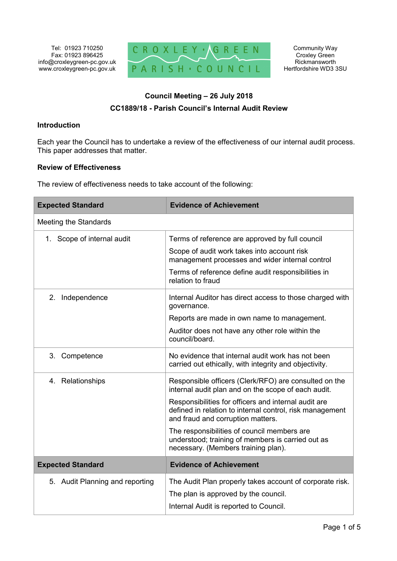

# **Council Meeting – 26 July 2018**

## **CC1889/18 - Parish Council's Internal Audit Review**

#### **Introduction**

Each year the Council has to undertake a review of the effectiveness of our internal audit process. This paper addresses that matter.

#### **Review of Effectiveness**

The review of effectiveness needs to take account of the following:

| <b>Expected Standard</b>        | <b>Evidence of Achievement</b>                                                                                                                        |
|---------------------------------|-------------------------------------------------------------------------------------------------------------------------------------------------------|
| <b>Meeting the Standards</b>    |                                                                                                                                                       |
| 1. Scope of internal audit      | Terms of reference are approved by full council                                                                                                       |
|                                 | Scope of audit work takes into account risk<br>management processes and wider internal control                                                        |
|                                 | Terms of reference define audit responsibilities in<br>relation to fraud                                                                              |
| Independence<br>2.              | Internal Auditor has direct access to those charged with<br>governance.                                                                               |
|                                 | Reports are made in own name to management.                                                                                                           |
|                                 | Auditor does not have any other role within the<br>council/board.                                                                                     |
| 3. Competence                   | No evidence that internal audit work has not been<br>carried out ethically, with integrity and objectivity.                                           |
| 4. Relationships                | Responsible officers (Clerk/RFO) are consulted on the<br>internal audit plan and on the scope of each audit.                                          |
|                                 | Responsibilities for officers and internal audit are<br>defined in relation to internal control, risk management<br>and fraud and corruption matters. |
|                                 | The responsibilities of council members are<br>understood; training of members is carried out as<br>necessary. (Members training plan).               |
| <b>Expected Standard</b>        | <b>Evidence of Achievement</b>                                                                                                                        |
| 5. Audit Planning and reporting | The Audit Plan properly takes account of corporate risk.                                                                                              |
|                                 | The plan is approved by the council.                                                                                                                  |
|                                 | Internal Audit is reported to Council.                                                                                                                |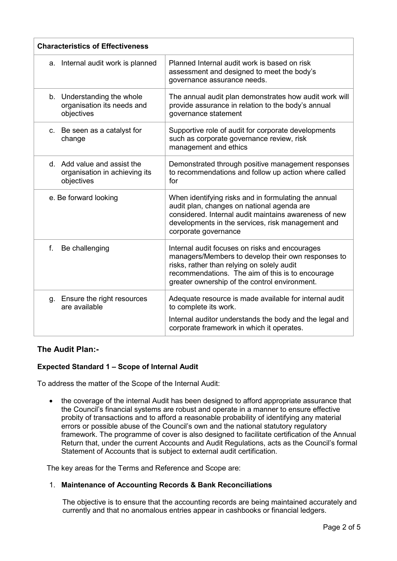| <b>Characteristics of Effectiveness</b>                                    |                                                                                                                                                                                                                                                         |
|----------------------------------------------------------------------------|---------------------------------------------------------------------------------------------------------------------------------------------------------------------------------------------------------------------------------------------------------|
| a. Internal audit work is planned                                          | Planned Internal audit work is based on risk<br>assessment and designed to meet the body's<br>governance assurance needs.                                                                                                                               |
| b. Understanding the whole<br>organisation its needs and<br>objectives     | The annual audit plan demonstrates how audit work will<br>provide assurance in relation to the body's annual<br>governance statement                                                                                                                    |
| c. Be seen as a catalyst for<br>change                                     | Supportive role of audit for corporate developments<br>such as corporate governance review, risk<br>management and ethics                                                                                                                               |
| d. Add value and assist the<br>organisation in achieving its<br>objectives | Demonstrated through positive management responses<br>to recommendations and follow up action where called<br>for                                                                                                                                       |
| e. Be forward looking                                                      | When identifying risks and in formulating the annual<br>audit plan, changes on national agenda are<br>considered. Internal audit maintains awareness of new<br>developments in the services, risk management and<br>corporate governance                |
| f.<br>Be challenging                                                       | Internal audit focuses on risks and encourages<br>managers/Members to develop their own responses to<br>risks, rather than relying on solely audit<br>recommendations. The aim of this is to encourage<br>greater ownership of the control environment. |
| Ensure the right resources<br>g.<br>are available                          | Adequate resource is made available for internal audit<br>to complete its work.                                                                                                                                                                         |
|                                                                            | Internal auditor understands the body and the legal and<br>corporate framework in which it operates.                                                                                                                                                    |

## **The Audit Plan:-**

## **Expected Standard 1 – Scope of Internal Audit**

To address the matter of the Scope of the Internal Audit:

 the coverage of the internal Audit has been designed to afford appropriate assurance that the Council's financial systems are robust and operate in a manner to ensure effective probity of transactions and to afford a reasonable probability of identifying any material errors or possible abuse of the Council's own and the national statutory regulatory framework. The programme of cover is also designed to facilitate certification of the Annual Return that, under the current Accounts and Audit Regulations, acts as the Council's formal Statement of Accounts that is subject to external audit certification.

The key areas for the Terms and Reference and Scope are:

## 1. **Maintenance of Accounting Records & Bank Reconciliations**

The objective is to ensure that the accounting records are being maintained accurately and currently and that no anomalous entries appear in cashbooks or financial ledgers.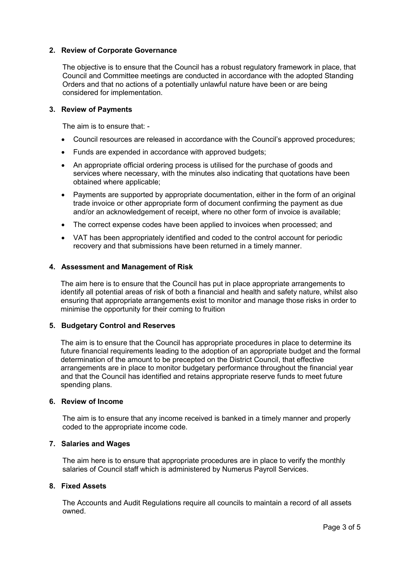#### **2. Review of Corporate Governance**

The objective is to ensure that the Council has a robust regulatory framework in place, that Council and Committee meetings are conducted in accordance with the adopted Standing Orders and that no actions of a potentially unlawful nature have been or are being considered for implementation.

#### **3. Review of Payments**

The aim is to ensure that: -

- Council resources are released in accordance with the Council's approved procedures;
- Funds are expended in accordance with approved budgets;
- An appropriate official ordering process is utilised for the purchase of goods and services where necessary, with the minutes also indicating that quotations have been obtained where applicable;
- Payments are supported by appropriate documentation, either in the form of an original trade invoice or other appropriate form of document confirming the payment as due and/or an acknowledgement of receipt, where no other form of invoice is available;
- The correct expense codes have been applied to invoices when processed; and
- VAT has been appropriately identified and coded to the control account for periodic recovery and that submissions have been returned in a timely manner.

#### **4. Assessment and Management of Risk**

The aim here is to ensure that the Council has put in place appropriate arrangements to identify all potential areas of risk of both a financial and health and safety nature, whilst also ensuring that appropriate arrangements exist to monitor and manage those risks in order to minimise the opportunity for their coming to fruition

#### **5. Budgetary Control and Reserves**

The aim is to ensure that the Council has appropriate procedures in place to determine its future financial requirements leading to the adoption of an appropriate budget and the formal determination of the amount to be precepted on the District Council, that effective arrangements are in place to monitor budgetary performance throughout the financial year and that the Council has identified and retains appropriate reserve funds to meet future spending plans.

#### **6. Review of Income**

The aim is to ensure that any income received is banked in a timely manner and properly coded to the appropriate income code.

#### **7. Salaries and Wages**

The aim here is to ensure that appropriate procedures are in place to verify the monthly salaries of Council staff which is administered by Numerus Payroll Services.

#### **8. Fixed Assets**

The Accounts and Audit Regulations require all councils to maintain a record of all assets owned.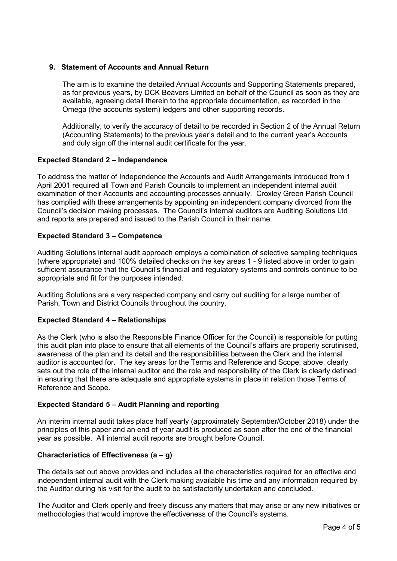## **9. Statement of Accounts and Annual Return**

The aim is to examine the detailed Annual Accounts and Supporting Statements prepared, as for previous years, by DCK Beavers Limited on behalf of the Council as soon as they are available, agreeing detail therein to the appropriate documentation, as recorded in the Omega (the accounts system) ledgers and other supporting records.

Additionally, to verify the accuracy of detail to be recorded in Section 2 of the Annual Return (Accounting Statements) to the previous year's detail and to the current year's Accounts and duly sign off the internal audit certificate for the year.

#### **Expected Standard 2 – Independence**

To address the matter of Independence the Accounts and Audit Arrangements introduced from 1 April 2001 required all Town and Parish Councils to implement an independent internal audit examination of their Accounts and accounting processes annually. Croxley Green Parish Council has complied with these arrangements by appointing an independent company divorced from the Council's decision making processes. The Council's internal auditors are Auditing Solutions Ltd and reports are prepared and issued to the Parish Council in their name.

## **Expected Standard 3 – Competence**

Auditing Solutions internal audit approach employs a combination of selective sampling techniques (where appropriate) and 100% detailed checks on the key areas 1 - 9 listed above in order to gain sufficient assurance that the Council's financial and regulatory systems and controls continue to be appropriate and fit for the purposes intended.

Auditing Solutions are a very respected company and carry out auditing for a large number of Parish, Town and District Councils throughout the country.

#### **Expected Standard 4 – Relationships**

As the Clerk (who is also the Responsible Finance Officer for the Council) is responsible for putting this audit plan into place to ensure that all elements of the Council's affairs are properly scrutinised, awareness of the plan and its detail and the responsibilities between the Clerk and the internal auditor is accounted for. The key areas for the Terms and Reference and Scope, above, clearly sets out the role of the internal auditor and the role and responsibility of the Clerk is clearly defined in ensuring that there are adequate and appropriate systems in place in relation those Terms of Reference and Scope.

#### **Expected Standard 5 – Audit Planning and reporting**

An interim internal audit takes place half yearly (approximately September/October 2018) under the principles of this paper and an end of year audit is produced as soon after the end of the financial year as possible. All internal audit reports are brought before Council.

## **Characteristics of Effectiveness (a – g)**

The details set out above provides and includes all the characteristics required for an effective and independent internal audit with the Clerk making available his time and any information required by the Auditor during his visit for the audit to be satisfactorily undertaken and concluded.

The Auditor and Clerk openly and freely discuss any matters that may arise or any new initiatives or methodologies that would improve the effectiveness of the Council's systems.